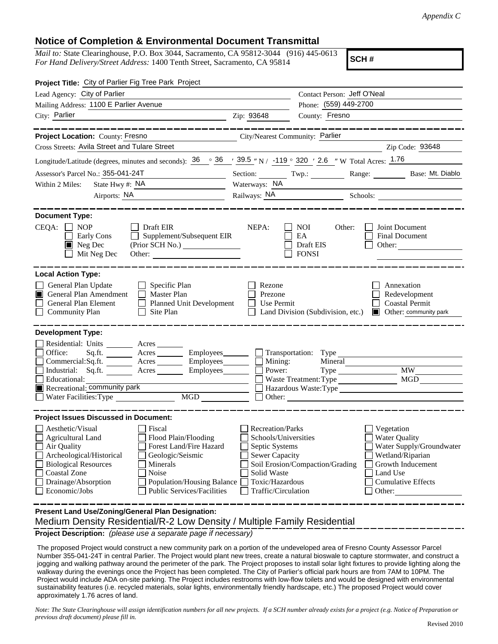## **Notice of Completion & Environmental Document Transmittal**

*Mail to:* State Clearinghouse, P.O. Box 3044, Sacramento, CA 95812-3044 (916) 445-0613 *For Hand Delivery/Street Address:* 1400 Tenth Street, Sacramento, CA 95814

**SCH #**

| Project Title: City of Parlier Fig Tree Park Project                                                                                                                                                                                                                                                                                                      |                                                                                                                                                     |                                                                                  |                                                                                                                                                            |
|-----------------------------------------------------------------------------------------------------------------------------------------------------------------------------------------------------------------------------------------------------------------------------------------------------------------------------------------------------------|-----------------------------------------------------------------------------------------------------------------------------------------------------|----------------------------------------------------------------------------------|------------------------------------------------------------------------------------------------------------------------------------------------------------|
| Lead Agency: City of Parlier                                                                                                                                                                                                                                                                                                                              |                                                                                                                                                     | Contact Person: Jeff O'Neal                                                      |                                                                                                                                                            |
| Mailing Address: 1100 E Parlier Avenue                                                                                                                                                                                                                                                                                                                    |                                                                                                                                                     | Phone: (559) 449-2700                                                            |                                                                                                                                                            |
| City: Parlier<br><u> 1989 - Johann Barn, fransk politik amerikansk politik (</u>                                                                                                                                                                                                                                                                          | Zip: 93648                                                                                                                                          | County: Fresno                                                                   |                                                                                                                                                            |
| __________                                                                                                                                                                                                                                                                                                                                                |                                                                                                                                                     |                                                                                  | . _ _ _ _ _ _ _ _ _ _ _ _ _ _ _ _                                                                                                                          |
| Project Location: County: Fresno<br><u> 1980 - Johann Barbara, martxa alemaniar a</u>                                                                                                                                                                                                                                                                     | City/Nearest Community: Parlier                                                                                                                     |                                                                                  |                                                                                                                                                            |
| Cross Streets: Avila Street and Tulare Street                                                                                                                                                                                                                                                                                                             |                                                                                                                                                     |                                                                                  | Zip Code: 93648                                                                                                                                            |
| Longitude/Latitude (degrees, minutes and seconds): $\frac{36}{9}$ $\frac{36}{9}$ $\frac{1}{29.5}$ "N / -119 $\degree$ 320 $\degree$ 2.6 " W Total Acres: $\frac{1.76}{9}$                                                                                                                                                                                 |                                                                                                                                                     |                                                                                  |                                                                                                                                                            |
| Assessor's Parcel No.: 355-041-24T                                                                                                                                                                                                                                                                                                                        |                                                                                                                                                     |                                                                                  | Section: Twp.: Twp.: Range: Base: Mt. Diablo                                                                                                               |
| State Hwy $\#$ : NA $\qquad \qquad$<br>Within 2 Miles:                                                                                                                                                                                                                                                                                                    | Waterways: NA                                                                                                                                       |                                                                                  |                                                                                                                                                            |
| Airports: NA<br><u> 1990 - Johann Barbara, martin a</u>                                                                                                                                                                                                                                                                                                   |                                                                                                                                                     |                                                                                  |                                                                                                                                                            |
|                                                                                                                                                                                                                                                                                                                                                           |                                                                                                                                                     |                                                                                  |                                                                                                                                                            |
| <b>Document Type:</b><br>$CEQA: \Box NP$<br>$\Box$ Draft EIR<br>Early Cons<br>$\Box$ Supplement/Subsequent EIR<br>$\blacksquare$ Neg Dec<br>Mit Neg Dec                                                                                                                                                                                                   | NEPA:                                                                                                                                               | <b>NOI</b><br>Other:<br>EA<br>Draft EIS<br><b>FONSI</b>                          | Joint Document<br>Final Document<br>Other:                                                                                                                 |
| <b>Local Action Type:</b><br>General Plan Update<br>$\Box$ Specific Plan<br><b>General Plan Amendment</b><br>Master Plan<br>П<br>General Plan Element<br>Planned Unit Development<br>$\Box$ Community Plan<br>Site Plan<br>$\perp$                                                                                                                        | Rezone<br>Prezone<br>Use Permit                                                                                                                     | Land Division (Subdivision, etc.)                                                | Annexation<br>Redevelopment<br><b>Coastal Permit</b><br><b>Other:</b> community park                                                                       |
| <b>Development Type:</b>                                                                                                                                                                                                                                                                                                                                  |                                                                                                                                                     |                                                                                  |                                                                                                                                                            |
| Residential: Units _________ Acres _______<br>Office:<br>Sq.ft. ________ Acres __________ Employees ________ $\Box$ Transportation: Type __<br>Commercial:Sq.ft. ________ Acres ________ Employees _______ $\Box$<br>Industrial: Sq.ft. _______ Acres ________ Employees _______<br>Educational:<br>Recreational: community park                          | Mining:<br>Power:                                                                                                                                   | Mineral<br>Waste Treatment: Type<br>Hazardous Waste:Type<br>$\Box$ Other: $\Box$ | <b>MW</b><br>MGD                                                                                                                                           |
| <b>Project Issues Discussed in Document:</b>                                                                                                                                                                                                                                                                                                              |                                                                                                                                                     |                                                                                  |                                                                                                                                                            |
| Aesthetic/Visual<br>  Fiscal<br>Flood Plain/Flooding<br><b>Agricultural Land</b><br>Air Quality<br>Forest Land/Fire Hazard<br>Archeological/Historical<br>Geologic/Seismic<br><b>Biological Resources</b><br>Minerals<br>Coastal Zone<br>Noise<br>Drainage/Absorption<br><b>Population/Housing Balance</b><br>Economic/Jobs<br>Public Services/Facilities | <b>Recreation/Parks</b><br>Schools/Universities<br>Septic Systems<br><b>Sewer Capacity</b><br>Solid Waste<br>Toxic/Hazardous<br>Traffic/Circulation | Soil Erosion/Compaction/Grading                                                  | Vegetation<br><b>Water Quality</b><br>Water Supply/Groundwater<br>Wetland/Riparian<br>Growth Inducement<br>Land Use<br><b>Cumulative Effects</b><br>Other: |
| Present Land Use/Zoning/General Plan Designation:<br>Medium Density Residential/R-2 Low Density / Multiple Family Residential                                                                                                                                                                                                                             |                                                                                                                                                     |                                                                                  |                                                                                                                                                            |

**Project Description:** *(please use a separate page if necessary)*

 The proposed Project would construct a new community park on a portion of the undeveloped area of Fresno County Assessor Parcel Number 355-041-24T in central Parlier. The Project would plant new trees, create a natural bioswale to capture stormwater, and construct a jogging and walking pathway around the perimeter of the park. The Project proposes to install solar light fixtures to provide lighting along the walkway during the evenings once the Project has been completed. The City of Parlier's official park hours are from 7AM to 10PM. The Project would include ADA on-site parking. The Project includes restrooms with low-flow toilets and would be designed with environmental sustainability features (i.e. recycled materials, solar lights, environmentally friendly hardscape, etc.) The proposed Project would cover approximately 1.76 acres of land.

*Note: The State Clearinghouse will assign identification numbers for all new projects. If a SCH number already exists for a project (e.g. Notice of Preparation or previous draft document) please fill in.*